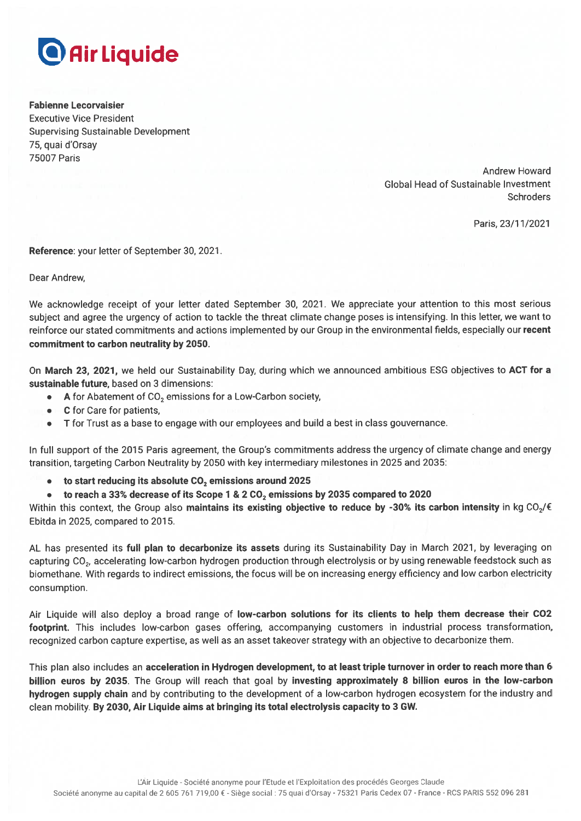# **D** Air Liquide

**Fabienne Lecorvaisier Executive Vice President Supervising Sustainable Development** 75, quai d'Orsav **75007 Paris** 

> **Andrew Howard Global Head of Sustainable Investment Schroders**

> > Paris, 23/11/2021

Reference: your letter of September 30, 2021.

Dear Andrew.

We acknowledge receipt of your letter dated September 30, 2021. We appreciate your attention to this most serious subject and agree the urgency of action to tackle the threat climate change poses is intensifying. In this letter, we want to reinforce our stated commitments and actions implemented by our Group in the environmental fields, especially our recent commitment to carbon neutrality by 2050.

On March 23, 2021, we held our Sustainability Day, during which we announced ambitious ESG objectives to ACT for a sustainable future, based on 3 dimensions:

- A for Abatement of CO<sub>2</sub> emissions for a Low-Carbon society,
- C for Care for patients,
- T for Trust as a base to engage with our employees and build a best in class gouvernance.

In full support of the 2015 Paris agreement, the Group's commitments address the urgency of climate change and energy transition, targeting Carbon Neutrality by 2050 with key intermediary milestones in 2025 and 2035:

- to start reducing its absolute CO<sub>2</sub> emissions around 2025
- to reach a 33% decrease of its Scope 1 & 2 CO<sub>2</sub> emissions by 2035 compared to 2020

Within this context, the Group also maintains its existing objective to reduce by -30% its carbon intensity in kg CO<sub>2</sub>/ $\epsilon$ Ebitda in 2025, compared to 2015.

AL has presented its full plan to decarbonize its assets during its Sustainability Day in March 2021, by leveraging on capturing CO<sub>2</sub>, accelerating low-carbon hydrogen production through electrolysis or by using renewable feedstock such as biomethane. With regards to indirect emissions, the focus will be on increasing energy efficiency and low carbon electricity consumption.

Air Liquide will also deploy a broad range of low-carbon solutions for its clients to help them decrease their CO2 footprint. This includes low-carbon gases offering, accompanying customers in industrial process transformation, recognized carbon capture expertise, as well as an asset takeover strategy with an objective to decarbonize them.

This plan also includes an acceleration in Hydrogen development, to at least triple turnover in order to reach more than 6 billion euros by 2035. The Group will reach that goal by investing approximately 8 billion euros in the low-carbon hydrogen supply chain and by contributing to the development of a low-carbon hydrogen ecosystem for the industry and clean mobility. By 2030, Air Liquide aims at bringing its total electrolysis capacity to 3 GW.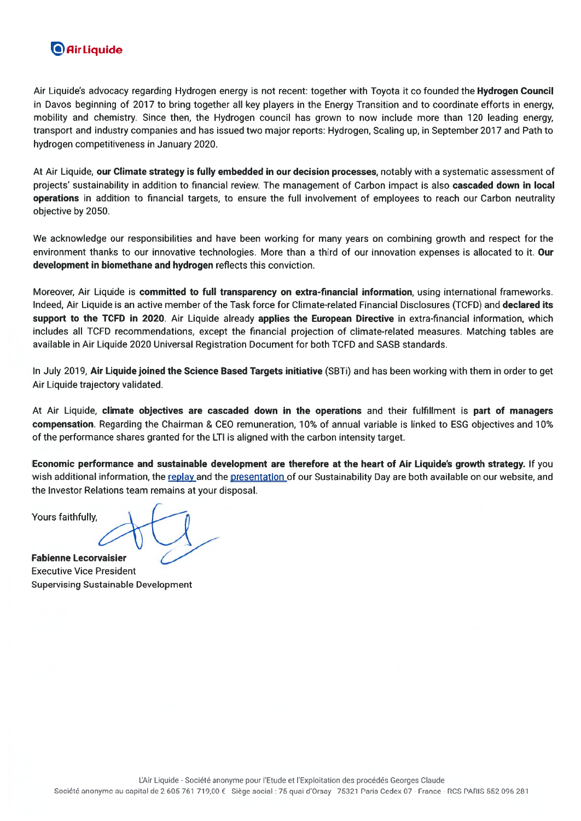## **O** Air Liquide

Air Liquide's advocacy regarding Hydrogen energy is not recent: together with Toyota it co founded the Hydrogen Council in Davos beginning of 2017 to bring together all key players in the Energy Transition and to coordinate efforts in energy. mobility and chemistry. Since then, the Hydrogen council has grown to now include more than 120 leading energy, transport and industry companies and has issued two major reports: Hydrogen, Scaling up, in September 2017 and Path to hydrogen competitiveness in January 2020.

At Air Liquide, our Climate strategy is fully embedded in our decision processes, notably with a systematic assessment of projects' sustainability in addition to financial review. The management of Carbon impact is also cascaded down in local operations in addition to financial targets, to ensure the full involvement of employees to reach our Carbon neutrality objective by 2050.

We acknowledge our responsibilities and have been working for many years on combining growth and respect for the environment thanks to our innovative technologies. More than a third of our innovation expenses is allocated to it. Our development in biomethane and hydrogen reflects this conviction.

Moreover, Air Liquide is committed to full transparency on extra-financial information, using international frameworks. Indeed, Air Liquide is an active member of the Task force for Climate-related Financial Disclosures (TCFD) and declared its support to the TCFD in 2020. Air Liquide already applies the European Directive in extra-financial information, which includes all TCFD recommendations, except the financial projection of climate-related measures. Matching tables are available in Air Liquide 2020 Universal Registration Document for both TCFD and SASB standards.

In July 2019, Air Liquide joined the Science Based Targets initiative (SBTi) and has been working with them in order to get Air Liquide trajectory validated.

At Air Liquide, climate objectives are cascaded down in the operations and their fulfillment is part of managers compensation. Regarding the Chairman & CEO remuneration, 10% of annual variable is linked to ESG objectives and 10% of the performance shares granted for the LTI is aligned with the carbon intensity target.

Economic performance and sustainable development are therefore at the heart of Air Liquide's growth strategy. If you wish additional information, the replay and the presentation of our Sustainability Day are both available on our website, and the Investor Relations team remains at your disposal.

Yours faithfully,

**Fabienne Lecorvaisier Executive Vice President Supervising Sustainable Development**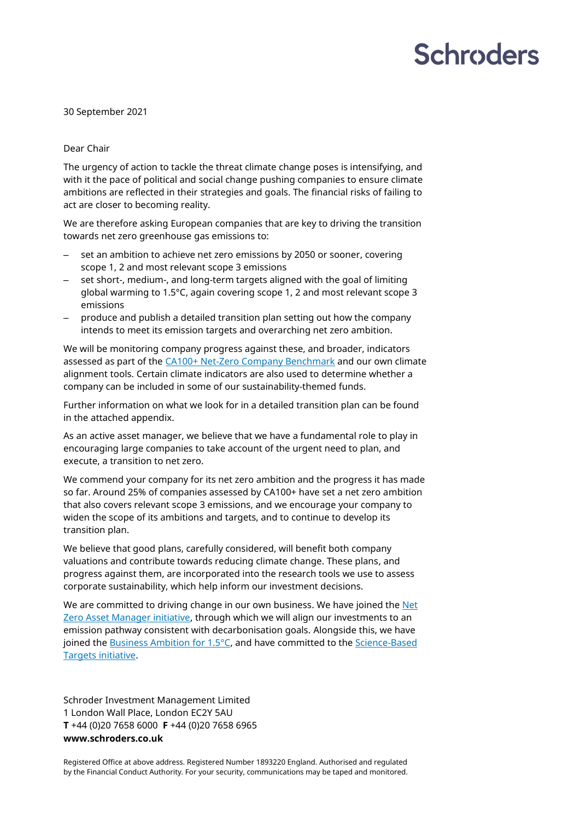## **Schroders**

30 September 2021

#### Dear Chair

The urgency of action to tackle the threat climate change poses is intensifying, and with it the pace of political and social change pushing companies to ensure climate ambitions are reflected in their strategies and goals. The financial risks of failing to act are closer to becoming reality.

We are therefore asking European companies that are key to driving the transition towards net zero greenhouse gas emissions to:

- set an ambition to achieve net zero emissions by 2050 or sooner, covering scope 1, 2 and most relevant scope 3 emissions
- set short-, medium-, and long-term targets aligned with the goal of limiting global warming to 1.5°C, again covering scope 1, 2 and most relevant scope 3 emissions
- produce and publish a detailed transition plan setting out how the company intends to meet its emission targets and overarching net zero ambition.

We will be monitoring company progress against these, and broader, indicators assessed as part of th[e CA100+ Net-Zero Company Benchmark](https://www.climateaction100.org/progress/net-zero-company-benchmark/) and our own climate alignment tools. Certain climate indicators are also used to determine whether a company can be included in some of our sustainability-themed funds.

Further information on what we look for in a detailed transition plan can be found in the attached appendix.

As an active asset manager, we believe that we have a fundamental role to play in encouraging large companies to take account of the urgent need to plan, and execute, a transition to net zero.

We commend your company for its net zero ambition and the progress it has made so far. Around 25% of companies assessed by CA100+ have set a net zero ambition that also covers relevant scope 3 emissions, and we encourage your company to widen the scope of its ambitions and targets, and to continue to develop its transition plan.

We believe that good plans, carefully considered, will benefit both company valuations and contribute towards reducing climate change. These plans, and progress against them, are incorporated into the research tools we use to assess corporate sustainability, which help inform our investment decisions.

We are committed to driving change in our own business. We have joined the Net [Zero Asset Manager initiative,](https://www.netzeroassetmanagers.org/) through which we will align our investments to an emission pathway consistent with decarbonisation goals. Alongside this, we have joined th[e Business Ambition for 1.5°C,](https://sciencebasedtargets.org/business-ambition-for-1-5c) and have committed to th[e Science-Based](https://sciencebasedtargets.org/)  [Targets initiative.](https://sciencebasedtargets.org/)

Schroder Investment Management Limited 1 London Wall Place, London EC2Y 5AU **T** +44 (0)20 7658 6000 **F** +44 (0)20 7658 6965 **www.schroders.co.uk**

Registered Office at above address. Registered Number 1893220 England. Authorised and regulated by the Financial Conduct Authority. For your security, communications may be taped and monitored.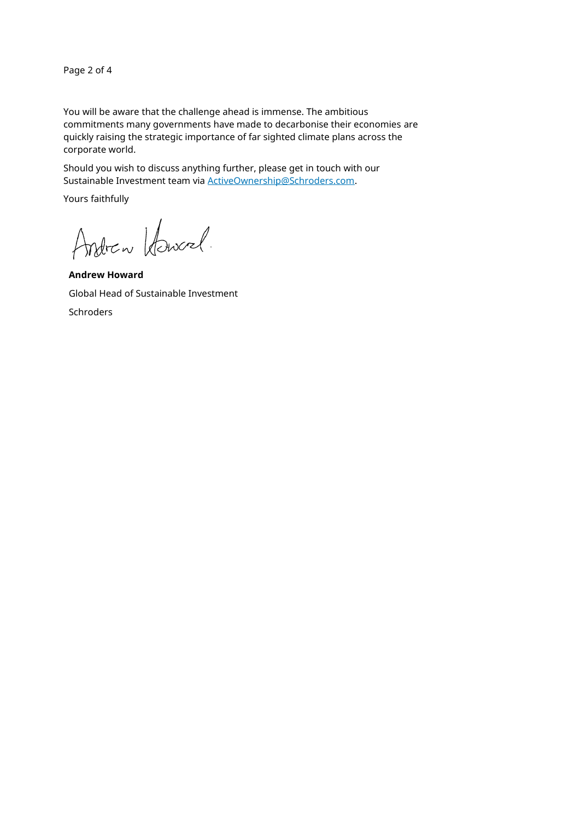Page 2 of 4

You will be aware that the challenge ahead is immense. The ambitious commitments many governments have made to decarbonise their economies are quickly raising the strategic importance of far sighted climate plans across the corporate world.

Should you wish to discuss anything further, please get in touch with our Sustainable Investment team via [ActiveOwnership@Schroders.com.](mailto:ActiveOwnership@Schroders.com)

Yours faithfully

Andrew Howerel.

**Andrew Howard** Global Head of Sustainable Investment Schroders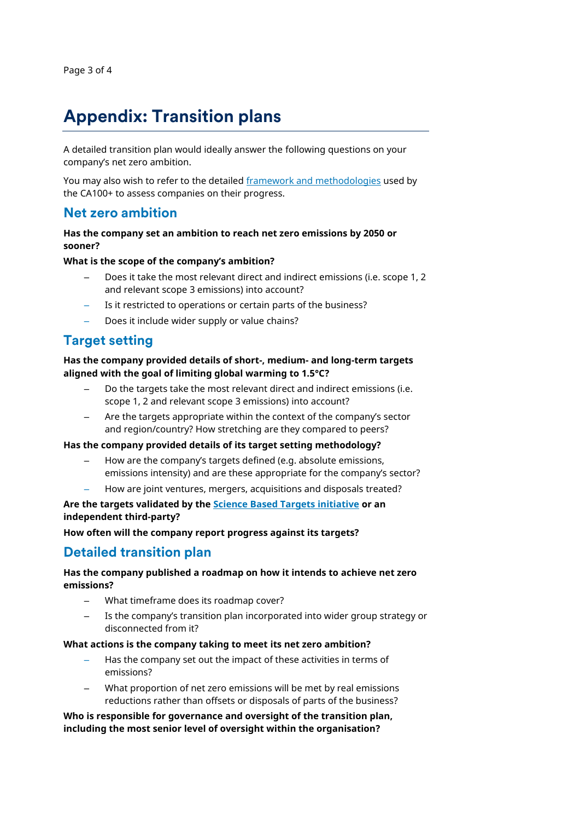## **Appendix: Transition plans**

A detailed transition plan would ideally answer the following questions on your company's net zero ambition.

You may also wish to refer to the detailed [framework and methodologies](https://www.climateaction100.org/progress/net-zero-company-benchmark/methodology/) used by the CA100+ to assess companies on their progress.

## **Net zero ambition**

### **Has the company set an ambition to reach net zero emissions by 2050 or sooner?**

#### **What is the scope of the company's ambition?**

- Does it take the most relevant direct and indirect emissions (i.e. scope 1, 2 and relevant scope 3 emissions) into account?
- Is it restricted to operations or certain parts of the business?
- Does it include wider supply or value chains?

## **Target setting**

**Has the company provided details of short-, medium- and long-term targets aligned with the goal of limiting global warming to 1.5°C?**

- Do the targets take the most relevant direct and indirect emissions (i.e. scope 1, 2 and relevant scope 3 emissions) into account?
- Are the targets appropriate within the context of the company's sector and region/country? How stretching are they compared to peers?

#### **Has the company provided details of its target setting methodology?**

- How are the company's targets defined (e.g. absolute emissions, emissions intensity) and are these appropriate for the company's sector?
- How are joint ventures, mergers, acquisitions and disposals treated?

**Are the targets validated by the [Science Based Targets initiative](https://sciencebasedtargets.org/) or an independent third-party?**

**How often will the company report progress against its targets?**

## **Detailed transition plan**

## **Has the company published a roadmap on how it intends to achieve net zero emissions?**

- What timeframe does its roadmap cover?
- Is the company's transition plan incorporated into wider group strategy or disconnected from it?

#### **What actions is the company taking to meet its net zero ambition?**

- Has the company set out the impact of these activities in terms of emissions?
- What proportion of net zero emissions will be met by real emissions reductions rather than offsets or disposals of parts of the business?

## **Who is responsible for governance and oversight of the transition plan, including the most senior level of oversight within the organisation?**